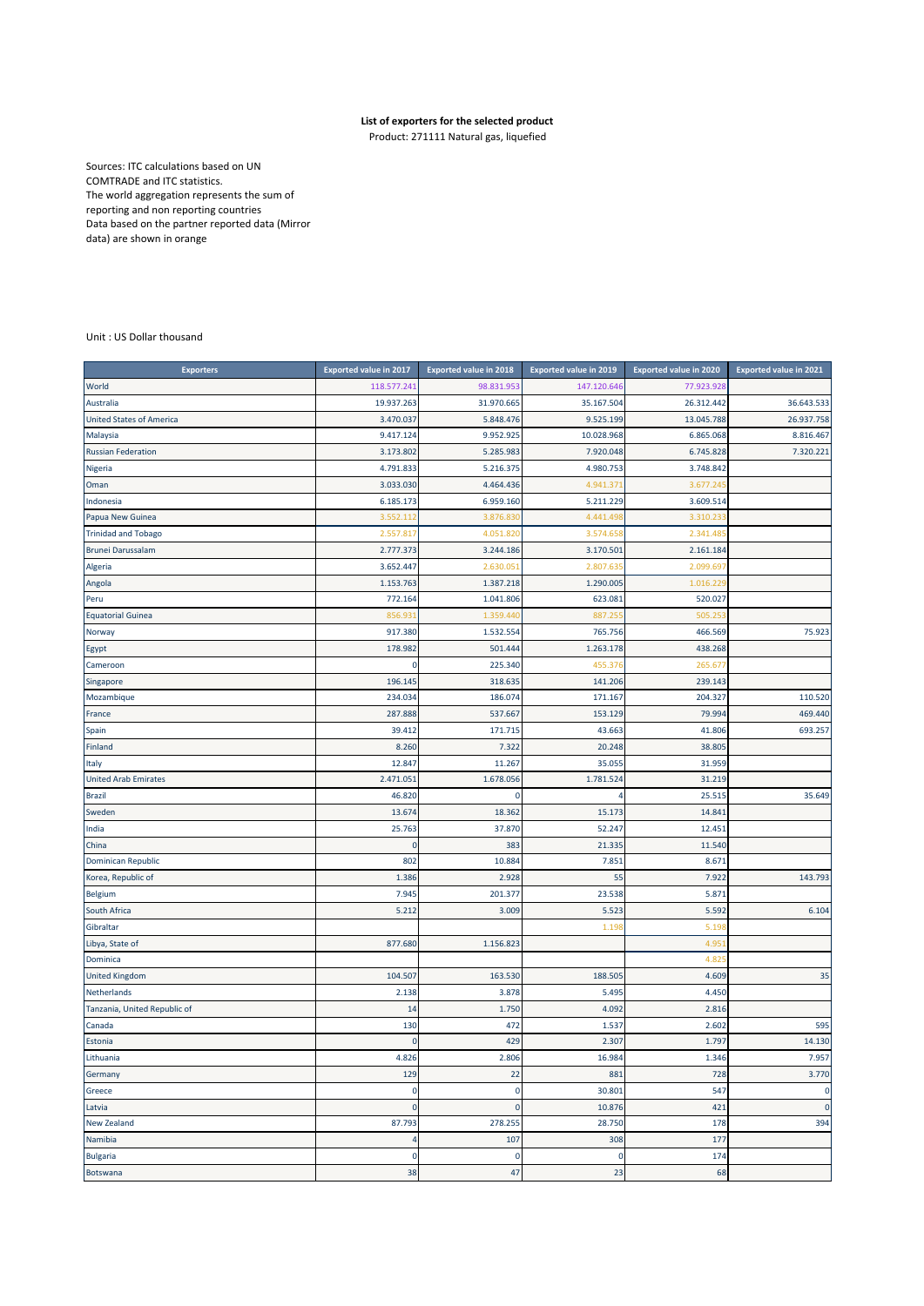## **List of exporters for the selected product**

Product: 271111 Natural gas, liquefied

Sources: ITC calculations based on UN COMTRADE and ITC statistics. The world aggregation represents the sum of reporting and non reporting countries Data based on the partner reported data (Mirror data) are shown in orange

## Unit : US Dollar thousand

| <b>Exporters</b>                | <b>Exported value in 2017</b> | <b>Exported value in 2018</b> | <b>Exported value in 2019</b> | <b>Exported value in 2020</b> | <b>Exported value in 2021</b> |
|---------------------------------|-------------------------------|-------------------------------|-------------------------------|-------------------------------|-------------------------------|
| World                           | 118.577.24                    | 98.831.95                     | 147.120.646                   | 77.923.928                    |                               |
| Australia                       | 19.937.263                    | 31.970.665                    | 35.167.504                    | 26.312.442                    | 36.643.533                    |
| <b>United States of America</b> | 3.470.037                     | 5.848.476                     | 9.525.199                     | 13.045.788                    | 26.937.758                    |
| Malaysia                        | 9.417.124                     | 9.952.925                     | 10.028.968                    | 6.865.068                     | 8.816.467                     |
| <b>Russian Federation</b>       | 3.173.802                     | 5.285.983                     | 7.920.048                     | 6.745.828                     | 7.320.221                     |
| Nigeria                         | 4.791.833                     | 5.216.375                     | 4.980.753                     | 3.748.842                     |                               |
| Oman                            | 3.033.030                     | 4.464.436                     | 4.941.371                     | 3.677.24                      |                               |
| Indonesia                       | 6.185.173                     | 6.959.160                     | 5.211.229                     | 3.609.514                     |                               |
| Papua New Guinea                | 3.552.112                     | 3.876.83                      | 4.441.498                     | 3.310.23                      |                               |
| <b>Trinidad and Tobago</b>      | 2.557.817                     | 4.051.82                      | 3.574.658                     | 2.341.48                      |                               |
| <b>Brunei Darussalam</b>        | 2.777.373                     | 3.244.186                     | 3.170.501                     | 2.161.184                     |                               |
| Algeria                         | 3.652.447                     | 2.630.05                      | 2.807.635                     | 2.099.697                     |                               |
| Angola                          | 1.153.763                     | 1.387.218                     | 1.290.005                     | 1.016.229                     |                               |
| Peru                            | 772.164                       | 1.041.806                     | 623.081                       | 520.027                       |                               |
| <b>Equatorial Guinea</b>        | 856.93                        | 1.359.44                      | 887.255                       | 505.25                        |                               |
| Norway                          | 917.380                       | 1.532.554                     | 765.756                       | 466.569                       | 75.923                        |
| Egypt                           | 178.982                       | 501.444                       | 1.263.178                     | 438.268                       |                               |
| Cameroon                        | $\Omega$                      | 225.340                       | 455.376                       | 265.677                       |                               |
| Singapore                       | 196.145                       | 318.635                       | 141.206                       | 239.143                       |                               |
| Mozambique                      | 234.034                       | 186.074                       | 171.167                       | 204.327                       | 110.520                       |
| France                          | 287.888                       | 537.667                       | 153.129                       | 79.994                        | 469.440                       |
| Spain                           | 39.412                        | 171.71                        | 43.663                        | 41.806                        | 693.257                       |
| Finland                         | 8.260                         | 7.322                         | 20.248                        | 38.805                        |                               |
| Italy                           | 12.847                        | 11.267                        | 35.055                        | 31.959                        |                               |
| <b>United Arab Emirates</b>     | 2.471.051                     | 1.678.056                     | 1.781.524                     | 31.219                        |                               |
| <b>Brazil</b>                   | 46.820                        | 0                             | 4                             | 25.515                        | 35.649                        |
| Sweden                          | 13.674                        | 18.362                        | 15.173                        | 14.841                        |                               |
| India                           | 25.763                        | 37.870                        | 52.247                        | 12.451                        |                               |
| China                           | $\mathbf{0}$                  | 383                           | 21.335                        | 11.540                        |                               |
| <b>Dominican Republic</b>       | 802                           | 10.884                        | 7.851                         | 8.671                         |                               |
| Korea, Republic of              | 1.386                         | 2.928                         | 55                            | 7.922                         | 143.793                       |
| Belgium                         | 7.945                         | 201.377                       | 23.538                        | 5.871                         |                               |
| South Africa                    | 5.212                         | 3.009                         | 5.523                         | 5.592                         | 6.104                         |
| Gibraltar                       |                               |                               | 1.198                         | 5.19                          |                               |
| Libya, State of                 | 877.680                       | 1.156.823                     |                               | 4.95                          |                               |
| Dominica                        |                               |                               |                               | 4.82                          |                               |
| <b>United Kingdom</b>           | 104.507                       | 163.530                       | 188.505                       | 4.609                         | 35                            |
| Netherlands                     | 2.138                         | 3.878                         | 5.495                         | 4.450                         |                               |
| Tanzania, United Republic of    | 14                            | 1.750                         | 4.092                         | 2.816                         |                               |
| Canada                          | 130                           | 472                           | 1.537                         | 2.602                         | 595                           |
| Estonia                         | $\mathbf 0$                   | 429                           | 2.307                         | 1.797                         | 14.130                        |
| Lithuania                       | 4.826                         | 2.806                         | 16.984                        | 1.346                         | 7.957                         |
| Germany                         | 129                           | 22                            | 881                           | 728                           | 3.770                         |
| Greece                          | 0                             | $\mathbf 0$                   | 30.801                        | 547                           | 0                             |
| Latvia                          | $\pmb{0}$                     | $\mathbf 0$                   | 10.876                        | 421                           | $\mathbf 0$                   |
| <b>New Zealand</b>              | 87.793                        | 278.255                       | 28.750                        | 178                           | 394                           |
| Namibia                         | 4                             | 107                           | 308                           | 177                           |                               |
| <b>Bulgaria</b>                 | $\mathbf 0$                   | $\mathbf 0$                   | $\pmb{0}$                     | 174                           |                               |
| Botswana                        | 38                            | 47                            | 23                            | 68                            |                               |